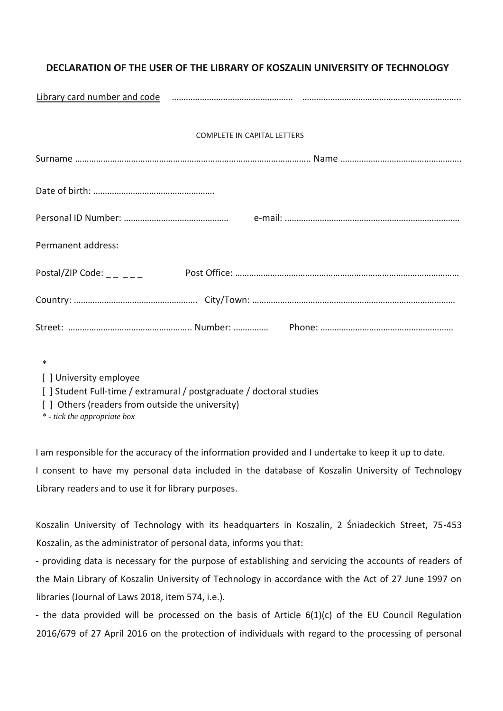## **DECLARATION OF THE USER OF THE LIBRARY OF KOSZALIN UNIVERSITY OF TECHNOLOGY**

|                                    |  | Library card number and code manufacture and communication and communication and code and communication and co |
|------------------------------------|--|----------------------------------------------------------------------------------------------------------------|
| <b>COMPLETE IN CAPITAL LETTERS</b> |  |                                                                                                                |
|                                    |  |                                                                                                                |
|                                    |  |                                                                                                                |
|                                    |  |                                                                                                                |
| Permanent address:                 |  |                                                                                                                |
|                                    |  |                                                                                                                |
|                                    |  |                                                                                                                |
|                                    |  |                                                                                                                |

\*

[ ] University employee

[] Student Full-time / extramural / postgraduate / doctoral studies

[] Others (readers from outside the university)

*\* tick the appropriate box*

I am responsible for the accuracy of the information provided and I undertake to keep it up to date. I consent to have my personal data included in the database of Koszalin University of Technology Library readers and to use it for library purposes.

Koszalin University of Technology with its headquarters in Koszalin, 2 Śniadeckich Street, 75-453 Koszalin, as the administrator of personal data, informs you that:

- providing data is necessary for the purpose of establishing and servicing the accounts of readers of the Main Library of Koszalin University of Technology in accordance with the Act of 27 June 1997 on libraries (Journal of Laws 2018, item 574, i.e.).

- the data provided will be processed on the basis of Article 6(1)(c) of the EU Council Regulation 2016/679 of 27 April 2016 on the protection of individuals with regard to the processing of personal